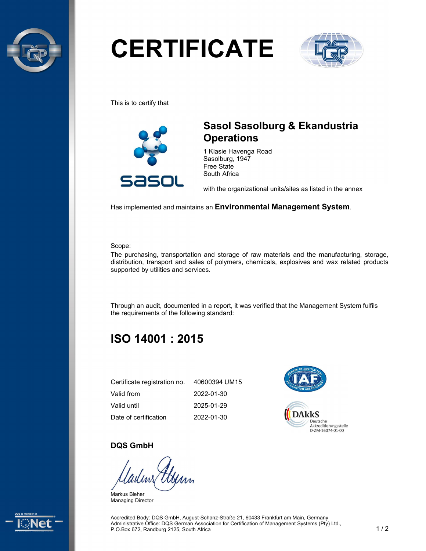

# **CERTIFICATE**



This is to certify that



## Sasol Sasolburg & Ekandustria **Operations**

1 Klasie Havenga Road Sasolburg, 1947 Free State South Africa

with the organizational units/sites as listed in the annex

Has implemented and maintains an Environmental Management System.

Scope:

The purchasing, transportation and storage of raw materials and the manufacturing, storage, distribution, transport and sales of polymers, chemicals, explosives and wax related products supported by utilities and services.

Through an audit, documented in a report, it was verified that the Management System fulfils the requirements of the following standard:

# ISO 14001 : 2015

| Certificate registration no. | 40600394 UM15 |
|------------------------------|---------------|
| Valid from                   | 2022-01-30    |
| Valid until                  | 2025-01-29    |
| Date of certification        | 2022-01-30    |



#### DQS GmbH

Markus Bleher Managing Director



Accredited Body: DQS GmbH, August-Schanz-Straße 21, 60433 Frankfurt am Main, Germany Administrative Office: DQS German Association for Certification of Management Systems (Pty) Ltd., P.O.Box 672, Randburg 2125, South Africa 1 / 2